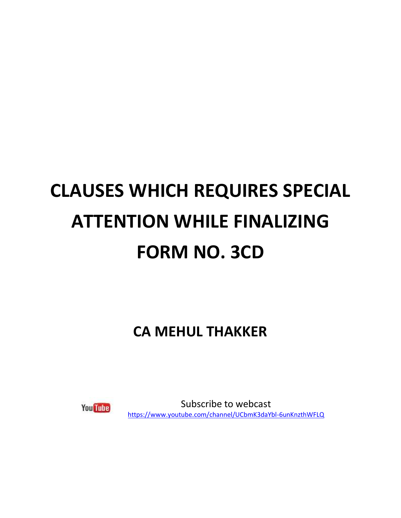## **CLAUSES WHICH REQUIRES SPECIAL ATTENTION WHILE FINALIZING FORM NO. 3CD**

**CA MEHUL THAKKER**



Subscribe to webcast <https://www.youtube.com/channel/UCbmK3daYbl-6unKnzthWFLQ>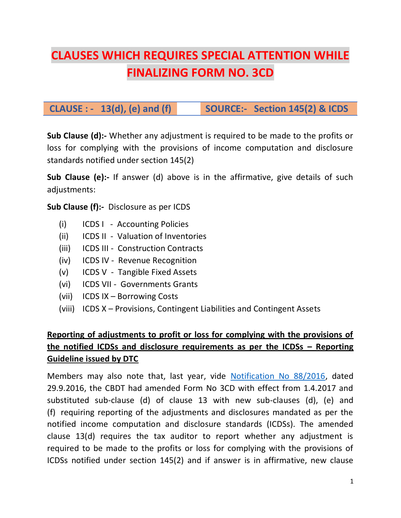## **CLAUSES WHICH REQUIRES SPECIAL ATTENTION WHILE FINALIZING FORM NO. 3CD**

## **CLAUSE : - 13(d), (e) and (f) SOURCE:- Section 145(2) & ICDS**

**Sub Clause (d):-** Whether any adjustment is required to be made to the profits or loss for complying with the provisions of income computation and disclosure standards notified under section 145(2)

**Sub Clause (e):-** If answer (d) above is in the affirmative, give details of such adjustments:

**Sub Clause (f):-** Disclosure as per ICDS

- (i) ICDS I Accounting Policies
- (ii) ICDS II Valuation of Inventories
- (iii) ICDS III Construction Contracts
- (iv) ICDS IV Revenue Recognition
- (v) ICDS V Tangible Fixed Assets
- (vi) ICDS VII Governments Grants
- (vii) ICDS IX Borrowing Costs
- (viii) ICDS X Provisions, Contingent Liabilities and Contingent Assets

### **Reporting of adjustments to profit or loss for complying with the provisions of the notified ICDSs and disclosure requirements as per the ICDSs – Reporting Guideline issued by DTC**

Members may also note that, last year, vide [Notification No 88/2016,](http://icai.ind.in/newsletter/lt.php?c=2994&m=2684&nl=1797&s=9099b0729da204bc88865ef24edd04ac&lid=36625&l=-http--www.incometaxindia.gov.in/communications/notification/notification882016.pdf) dated 29.9.2016, the CBDT had amended Form No 3CD with effect from 1.4.2017 and substituted sub-clause (d) of clause 13 with new sub-clauses (d), (e) and (f) requiring reporting of the adjustments and disclosures mandated as per the notified income computation and disclosure standards (ICDSs). The amended clause 13(d) requires the tax auditor to report whether any adjustment is required to be made to the profits or loss for complying with the provisions of ICDSs notified under section 145(2) and if answer is in affirmative, new clause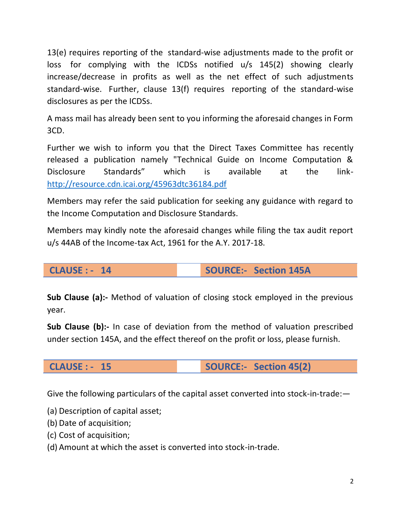13(e) requires reporting of the standard-wise adjustments made to the profit or loss for complying with the ICDSs notified u/s 145(2) showing clearly increase/decrease in profits as well as the net effect of such adjustments standard-wise. Further, clause 13(f) requires reporting of the standard-wise disclosures as per the ICDSs.

A mass mail has already been sent to you informing the aforesaid changes in Form 3CD.

Further we wish to inform you that the Direct Taxes Committee has recently released a publication namely "Technical Guide on Income Computation & Disclosure Standards" which is available at the link[http://resource.cdn.icai.org/45963dtc36184.pdf](http://icai.ind.in/newsletter/lt.php?c=2994&m=2684&nl=1797&s=9099b0729da204bc88865ef24edd04ac&lid=36626&l=-http--resource.cdn.icai.org/45963dtc36184.pdf)

Members may refer the said publication for seeking any guidance with regard to the Income Computation and Disclosure Standards.

Members may kindly note the aforesaid changes while filing the tax audit report u/s 44AB of the Income-tax Act, 1961 for the A.Y. 2017-18.

**CLAUSE : - 14 SOURCE:- Section 145A**

**Sub Clause (a):-** Method of valuation of closing stock employed in the previous year.

**Sub Clause (b):-** In case of deviation from the method of valuation prescribed under section 145A, and the effect thereof on the profit or loss, please furnish.

**CLAUSE : - 15 SOURCE:- Section 45(2)**

Give the following particulars of the capital asset converted into stock-in-trade:—

(a) Description of capital asset;

(b) Date of acquisition;

(c) Cost of acquisition;

(d) Amount at which the asset is converted into stock-in-trade.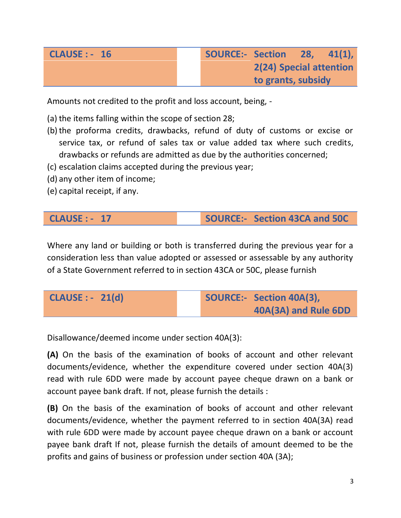| <b>CLAUSE: - 16</b> | <b>SOURCE:- Section</b> |                         | $\blacksquare$ 28, | $-41(1)$ , |
|---------------------|-------------------------|-------------------------|--------------------|------------|
|                     |                         | 2(24) Special attention |                    |            |
|                     |                         | to grants, subsidy      |                    |            |

Amounts not credited to the profit and loss account, being, -

- (a) the items falling within the scope of section 28;
- (b)the proforma credits, drawbacks, refund of duty of customs or excise or service tax, or refund of sales tax or value added tax where such credits, drawbacks or refunds are admitted as due by the authorities concerned;
- (c) escalation claims accepted during the previous year;
- (d) any other item of income;
- (e) capital receipt, if any.

#### **CLAUSE : - 17 SOURCE:- Section 43CA and 50C**

Where any land or building or both is transferred during the previous year for a consideration less than value adopted or assessed or assessable by any authority of a State Government referred to in section 43CA or 50C, please furnish

| <b>CLAUSE : - 21(d)</b> |  | SOURCE:- Section 40A(3), |
|-------------------------|--|--------------------------|
|                         |  | 40A(3A) and Rule 6DD     |

Disallowance/deemed income under section 40A(3):

**(A)** On the basis of the examination of books of account and other relevant documents/evidence, whether the expenditure covered under section 40A(3) read with rule 6DD were made by account payee cheque drawn on a bank or account payee bank draft. If not, please furnish the details :

**(B)** On the basis of the examination of books of account and other relevant documents/evidence, whether the payment referred to in section 40A(3A) read with rule 6DD were made by account payee cheque drawn on a bank or account payee bank draft If not, please furnish the details of amount deemed to be the profits and gains of business or profession under section 40A (3A);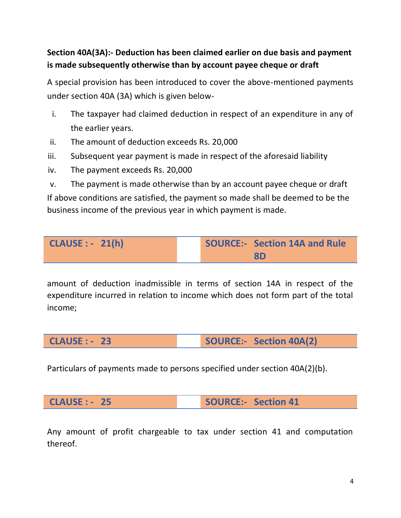#### **Section 40A(3A):- Deduction has been claimed earlier on due basis and payment is made subsequently otherwise than by account payee cheque or draft**

A special provision has been introduced to cover the above-mentioned payments under section 40A (3A) which is given below-

- i. The taxpayer had claimed deduction in respect of an expenditure in any of the earlier years.
- ii. The amount of deduction exceeds Rs. 20,000
- iii. Subsequent year payment is made in respect of the aforesaid liability
- iv. The payment exceeds Rs. 20,000

v. The payment is made otherwise than by an account payee cheque or draft If above conditions are satisfied, the payment so made shall be deemed to be the business income of the previous year in which payment is made.

**CLAUSE : - 21(h) SOURCE:- Section 14A and Rule 8D**

amount of deduction inadmissible in terms of section 14A in respect of the expenditure incurred in relation to income which does not form part of the total income;

**CLAUSE : - 23 SOURCE:- Section 40A(2)**

Particulars of payments made to persons specified under section 40A(2)(b).

**CLAUSE : - 25 SOURCE:- Section 41**

Any amount of profit chargeable to tax under section 41 and computation thereof.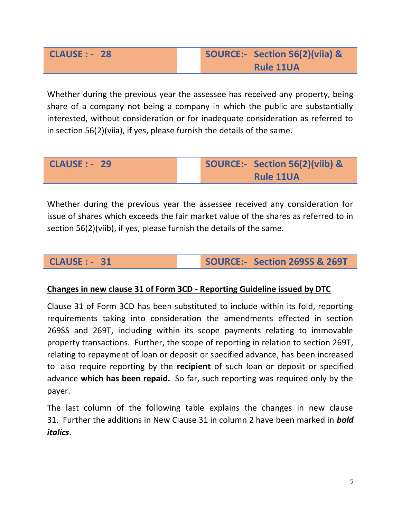## **CLAUSE : - 28 SOURCE:- Section 56(2)(viia) & Rule 11UA**

Whether during the previous year the assessee has received any property, being share of a company not being a company in which the public are substantially interested, without consideration or for inadequate consideration as referred to in section 56(2)(viia), if yes, please furnish the details of the same.

| <b>CLAUSE : - 29</b> |  | SOURCE:- Section 56(2)(viib) & |
|----------------------|--|--------------------------------|
|                      |  | <b>Rule 11UA</b>               |

Whether during the previous year the assessee received any consideration for issue of shares which exceeds the fair market value of the shares as referred to in section 56(2)(viib), if yes, please furnish the details of the same.

#### **CLAUSE : - 31 SOURCE:- Section 269SS & 269T**

#### **Changes in new clause 31 of Form 3CD - Reporting Guideline issued by DTC**

Clause 31 of Form 3CD has been substituted to include within its fold, reporting requirements taking into consideration the amendments effected in section 269SS and 269T, including within its scope payments relating to immovable property transactions. Further, the scope of reporting in relation to section 269T, relating to repayment of loan or deposit or specified advance, has been increased to also require reporting by the **recipient** of such loan or deposit or specified advance **which has been repaid.** So far, such reporting was required only by the payer.

The last column of the following table explains the changes in new clause 31. Further the additions in New Clause 31 in column 2 have been marked in *bold italics*.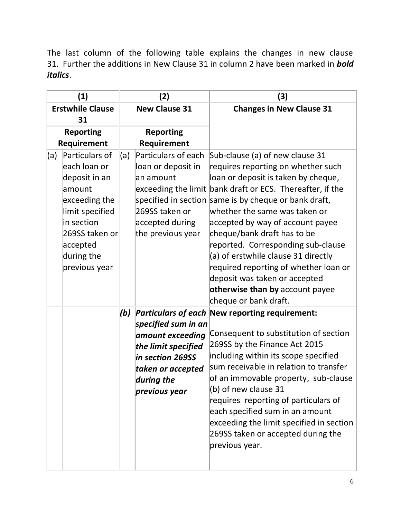The last column of the following table explains the changes in new clause 31. Further the additions in New Clause 31 in column 2 have been marked in *bold italics*.

|                         | (1)                                                                                                                                                                      |                      | (2)                                                                                                                                    | (3)                                                                                                                                                                                                                                                                                                                                                                                                                                                                                                                                                       |
|-------------------------|--------------------------------------------------------------------------------------------------------------------------------------------------------------------------|----------------------|----------------------------------------------------------------------------------------------------------------------------------------|-----------------------------------------------------------------------------------------------------------------------------------------------------------------------------------------------------------------------------------------------------------------------------------------------------------------------------------------------------------------------------------------------------------------------------------------------------------------------------------------------------------------------------------------------------------|
| <b>Erstwhile Clause</b> |                                                                                                                                                                          | <b>New Clause 31</b> |                                                                                                                                        | <b>Changes in New Clause 31</b>                                                                                                                                                                                                                                                                                                                                                                                                                                                                                                                           |
| 31                      |                                                                                                                                                                          |                      |                                                                                                                                        |                                                                                                                                                                                                                                                                                                                                                                                                                                                                                                                                                           |
| <b>Reporting</b>        |                                                                                                                                                                          | <b>Reporting</b>     |                                                                                                                                        |                                                                                                                                                                                                                                                                                                                                                                                                                                                                                                                                                           |
|                         | Requirement                                                                                                                                                              |                      | Requirement                                                                                                                            |                                                                                                                                                                                                                                                                                                                                                                                                                                                                                                                                                           |
| (a)                     | Particulars of<br>each loan or<br>deposit in an<br>amount<br>exceeding the<br>limit specified<br>in section<br>269SS taken or<br>accepted<br>during the<br>previous year | (a)                  | Particulars of each<br>loan or deposit in<br>an amount<br>269SS taken or<br>accepted during<br>the previous year                       | Sub-clause (a) of new clause 31<br>requires reporting on whether such<br>loan or deposit is taken by cheque,<br>exceeding the limit bank draft or ECS. Thereafter, if the<br>specified in section same is by cheque or bank draft,<br>whether the same was taken or<br>accepted by way of account payee<br>cheque/bank draft has to be<br>reported. Corresponding sub-clause<br>(a) of erstwhile clause 31 directly<br>required reporting of whether loan or<br>deposit was taken or accepted<br>otherwise than by account payee<br>cheque or bank draft. |
|                         |                                                                                                                                                                          | (b)                  | specified sum in an<br>amount exceeding<br>the limit specified<br>in section 269SS<br>taken or accepted<br>during the<br>previous year | <b>Particulars of each New reporting requirement:</b><br>Consequent to substitution of section<br>269SS by the Finance Act 2015<br>including within its scope specified<br>sum receivable in relation to transfer<br>of an immovable property, sub-clause<br>(b) of new clause 31<br>requires reporting of particulars of<br>each specified sum in an amount<br>exceeding the limit specified in section<br>269SS taken or accepted during the<br>previous year.                                                                                          |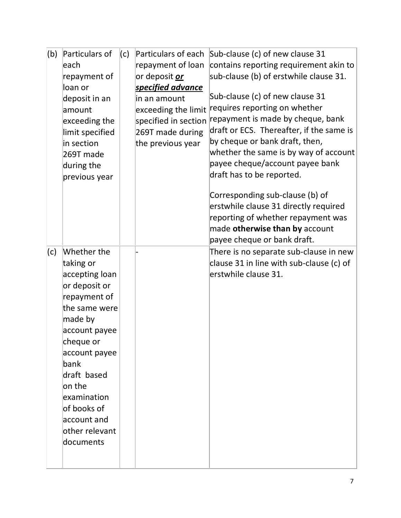| (b) | Particulars of  | (C) |                          | Particulars of each Sub-clause (c) of new clause 31 |
|-----|-----------------|-----|--------------------------|-----------------------------------------------------|
|     | leach           |     | repayment of loan        | contains reporting requirement akin to              |
|     | repayment of    |     | or deposit <i>or</i>     | sub-clause (b) of erstwhile clause 31.              |
|     | loan or         |     | <u>specified advance</u> |                                                     |
|     | deposit in an   |     | in an amount             | Sub-clause (c) of new clause 31                     |
|     | amount          |     | exceeding the limit      | requires reporting on whether                       |
|     | exceeding the   |     | specified in section     | repayment is made by cheque, bank                   |
|     | limit specified |     | 269T made during         | draft or ECS. Thereafter, if the same is            |
|     | in section      |     | the previous year        | by cheque or bank draft, then,                      |
|     | 269T made       |     |                          | whether the same is by way of account               |
|     | during the      |     |                          | payee cheque/account payee bank                     |
|     | previous year   |     |                          | draft has to be reported.                           |
|     |                 |     |                          | Corresponding sub-clause (b) of                     |
|     |                 |     |                          | erstwhile clause 31 directly required               |
|     |                 |     |                          | reporting of whether repayment was                  |
|     |                 |     |                          | made otherwise than by account                      |
|     |                 |     |                          | payee cheque or bank draft.                         |
| (c) | Whether the     |     |                          | There is no separate sub-clause in new              |
|     | taking or       |     |                          | clause 31 in line with sub-clause (c) of            |
|     | accepting loan  |     |                          | erstwhile clause 31.                                |
|     | or deposit or   |     |                          |                                                     |
|     | repayment of    |     |                          |                                                     |
|     | the same were   |     |                          |                                                     |
|     | made by         |     |                          |                                                     |
|     | account payee   |     |                          |                                                     |
|     | cheque or       |     |                          |                                                     |
|     | account payee   |     |                          |                                                     |
|     | bank            |     |                          |                                                     |
|     | draft based     |     |                          |                                                     |
|     | on the          |     |                          |                                                     |
|     | examination     |     |                          |                                                     |
|     | of books of     |     |                          |                                                     |
|     | account and     |     |                          |                                                     |
|     | other relevant  |     |                          |                                                     |
|     |                 |     |                          |                                                     |
|     | documents       |     |                          |                                                     |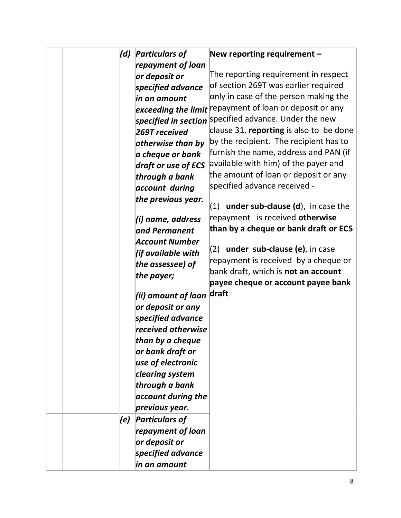|  | (d) | <b>Particulars of</b>     | New reporting requirement -                             |
|--|-----|---------------------------|---------------------------------------------------------|
|  |     | repayment of loan         |                                                         |
|  |     | or deposit or             | The reporting requirement in respect                    |
|  |     | specified advance         | of section 269T was earlier required                    |
|  |     | in an amount              | only in case of the person making the                   |
|  |     |                           | exceeding the limit repayment of loan or deposit or any |
|  |     |                           | specified in section specified advance. Under the new   |
|  |     | 269T received             | clause 31, reporting is also to be done                 |
|  |     | otherwise than by         | by the recipient. The recipient has to                  |
|  |     | a cheque or bank          | furnish the name, address and PAN (if                   |
|  |     | draft or use of ECS       | available with him) of the payer and                    |
|  |     | through a bank            | the amount of loan or deposit or any                    |
|  |     | account during            | specified advance received -                            |
|  |     | the previous year.        |                                                         |
|  |     |                           | $(1)$ under sub-clause $(d)$ , in case the              |
|  |     | (i) name, address         | repayment is received otherwise                         |
|  |     | and Permanent             | than by a cheque or bank draft or ECS                   |
|  |     | <b>Account Number</b>     |                                                         |
|  |     | (if available with        | $(2)$ under sub-clause (e), in case                     |
|  |     | the assessee) of          | repayment is received by a cheque or                    |
|  |     | the payer;                | bank draft, which is not an account                     |
|  |     |                           | payee cheque or account payee bank                      |
|  |     | (ii) amount of loan draft |                                                         |
|  |     | or deposit or any         |                                                         |
|  |     | specified advance         |                                                         |
|  |     | received otherwise        |                                                         |
|  |     | than by a cheque          |                                                         |
|  |     | or bank draft or          |                                                         |
|  |     | use of electronic         |                                                         |
|  |     | clearing system           |                                                         |
|  |     | through a bank            |                                                         |
|  |     | account during the        |                                                         |
|  |     | previous year.            |                                                         |
|  | (e) | <b>Particulars of</b>     |                                                         |
|  |     | repayment of loan         |                                                         |
|  |     | or deposit or             |                                                         |
|  |     | specified advance         |                                                         |
|  |     | in an amount              |                                                         |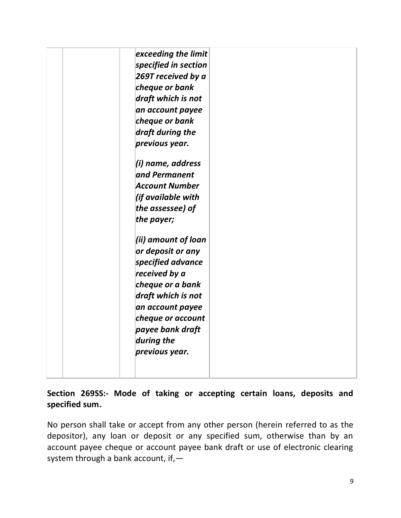| exceeding the limit<br>specified in section<br>269T received by a<br>cheque or bank<br>draft which is not<br>an account payee<br>cheque or bank<br>draft during the<br>previous year.<br>(i) name, address<br>and Permanent<br>Account Number<br>(if available with<br>the assessee) of<br>the payer;<br>(ii) amount of loan<br>or deposit or any<br>specified advance<br>received by a<br>cheque or a bank<br>draft which is not<br>an account payee<br>cheque or account<br>payee bank draft<br>during the<br>previous year. |  |
|--------------------------------------------------------------------------------------------------------------------------------------------------------------------------------------------------------------------------------------------------------------------------------------------------------------------------------------------------------------------------------------------------------------------------------------------------------------------------------------------------------------------------------|--|
|--------------------------------------------------------------------------------------------------------------------------------------------------------------------------------------------------------------------------------------------------------------------------------------------------------------------------------------------------------------------------------------------------------------------------------------------------------------------------------------------------------------------------------|--|

#### **Section 269SS:- Mode of taking or accepting certain loans, deposits and specified sum.**

No person shall take or accept from any other person (herein referred to as the depositor), any loan or deposit or any specified sum, otherwise than by an account payee cheque or account payee bank draft or use of electronic clearing system through a bank account, if,—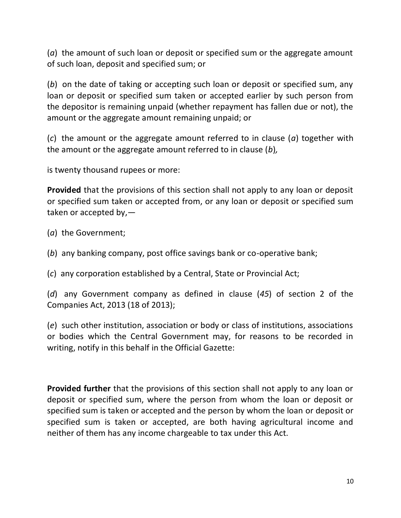(*a*) the amount of such loan or deposit or specified sum or the aggregate amount of such loan, deposit and specified sum; or

(*b*) on the date of taking or accepting such loan or deposit or specified sum, any loan or deposit or specified sum taken or accepted earlier by such person from the depositor is remaining unpaid (whether repayment has fallen due or not), the amount or the aggregate amount remaining unpaid; or

(*c*) the amount or the aggregate amount referred to in clause (*a*) together with the amount or the aggregate amount referred to in clause (*b*)*,*

is twenty thousand rupees or more:

**Provided** that the provisions of this section shall not apply to any loan or deposit or specified sum taken or accepted from, or any loan or deposit or specified sum taken or accepted by,—

- (*a*) the Government;
- (*b*) any banking company, post office savings bank or co-operative bank;

(*c*) any corporation established by a Central, State or Provincial Act;

(*d*) any Government company as defined in clause (*45*) of section 2 of the Companies Act, 2013 (18 of 2013);

(*e*) such other institution, association or body or class of institutions, associations or bodies which the Central Government may, for reasons to be recorded in writing, notify in this behalf in the Official Gazette:

**Provided further** that the provisions of this section shall not apply to any loan or deposit or specified sum, where the person from whom the loan or deposit or specified sum is taken or accepted and the person by whom the loan or deposit or specified sum is taken or accepted, are both having agricultural income and neither of them has any income chargeable to tax under this Act.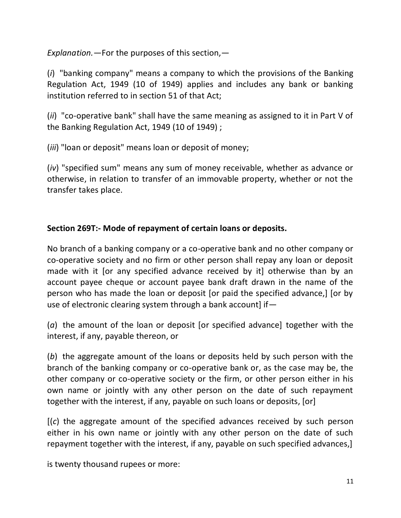*Explanation.—*For the purposes of this section,—

(*i*) "banking company" means a company to which the provisions of the Banking Regulation Act, 1949 (10 of 1949) applies and includes any bank or banking institution referred to in section 51 of that Act;

(*ii*) "co-operative bank" shall have the same meaning as assigned to it in Part V of the Banking Regulation Act, 1949 (10 of 1949) ;

(*iii*) "loan or deposit" means loan or deposit of money;

(*iv*) "specified sum" means any sum of money receivable, whether as advance or otherwise, in relation to transfer of an immovable property, whether or not the transfer takes place.

#### **Section 269T:- Mode of repayment of certain loans or deposits.**

No branch of a banking company or a co-operative bank and no other company or co-operative society and no firm or other person shall repay any loan or deposit made with it [or any specified advance received by it] otherwise than by an account payee cheque or account payee bank draft drawn in the name of the person who has made the loan or deposit [or paid the specified advance,] [or by use of electronic clearing system through a bank account] if—

(*a*) the amount of the loan or deposit [or specified advance] together with the interest, if any, payable thereon, or

(*b*) the aggregate amount of the loans or deposits held by such person with the branch of the banking company or co-operative bank or, as the case may be, the other company or co-operative society or the firm, or other person either in his own name or jointly with any other person on the date of such repayment together with the interest, if any, payable on such loans or deposits, [or]

[(*c*) the aggregate amount of the specified advances received by such person either in his own name or jointly with any other person on the date of such repayment together with the interest, if any, payable on such specified advances,]

is twenty thousand rupees or more: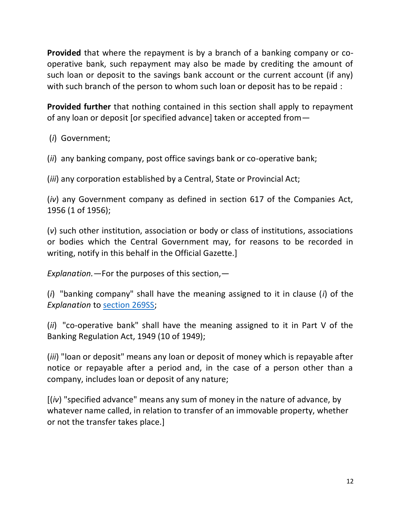**Provided** that where the repayment is by a branch of a banking company or cooperative bank, such repayment may also be made by crediting the amount of such loan or deposit to the savings bank account or the current account (if any) with such branch of the person to whom such loan or deposit has to be repaid :

**Provided further** that nothing contained in this section shall apply to repayment of any loan or deposit [or specified advance] taken or accepted from—

(*i*) Government;

(*ii*) any banking company, post office savings bank or co-operative bank;

(*iii*) any corporation established by a Central, State or Provincial Act;

(*iv*) any Government company as defined in section 617 of the Companies Act, 1956 (1 of 1956);

(*v*) such other institution, association or body or class of institutions, associations or bodies which the Central Government may, for reasons to be recorded in writing, notify in this behalf in the Official Gazette.]

*Explanation.—*For the purposes of this section,—

(*i*) "banking company" shall have the meaning assigned to it in clause (*i*) of the *Explanation* to [section 269SS;](javascript:ShowMainContent()

(*ii*) "co-operative bank" shall have the meaning assigned to it in Part V of the Banking Regulation Act, 1949 (10 of 1949);

(*iii*) "loan or deposit" means any loan or deposit of money which is repayable after notice or repayable after a period and, in the case of a person other than a company, includes loan or deposit of any nature;

[(*iv*) "specified advance" means any sum of money in the nature of advance, by whatever name called, in relation to transfer of an immovable property, whether or not the transfer takes place.]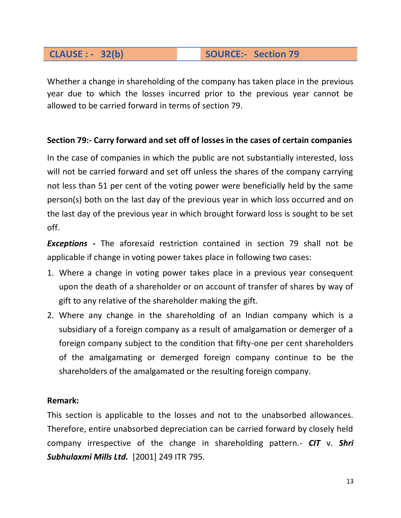#### **CLAUSE : - 32(b) SOURCE:- Section 79**

Whether a change in shareholding of the company has taken place in the previous year due to which the losses incurred prior to the previous year cannot be allowed to be carried forward in terms of section 79.

#### **Section 79:- Carry forward and set off of losses in the cases of certain companies**

In the case of companies in which the public are not substantially interested, loss will not be carried forward and set off unless the shares of the company carrying not less than 51 per cent of the voting power were beneficially held by the same person(s) both on the last day of the previous year in which loss occurred and on the last day of the previous year in which brought forward loss is sought to be set off.

*Exceptions* **-** The aforesaid restriction contained in section 79 shall not be applicable if change in voting power takes place in following two cases:

- 1. Where a change in voting power takes place in a previous year consequent upon the death of a shareholder or on account of transfer of shares by way of gift to any relative of the shareholder making the gift.
- 2. Where any change in the shareholding of an Indian company which is a subsidiary of a foreign company as a result of amalgamation or demerger of a foreign company subject to the condition that fifty-one per cent shareholders of the amalgamating or demerged foreign company continue to be the shareholders of the amalgamated or the resulting foreign company.

#### **Remark:**

This section is applicable to the losses and not to the unabsorbed allowances. Therefore, entire unabsorbed depreciation can be carried forward by closely held company irrespective of the change in shareholding pattern.- *CIT* v. *Shri Subhulaxmi Mills Ltd.* [2001] 249 ITR 795.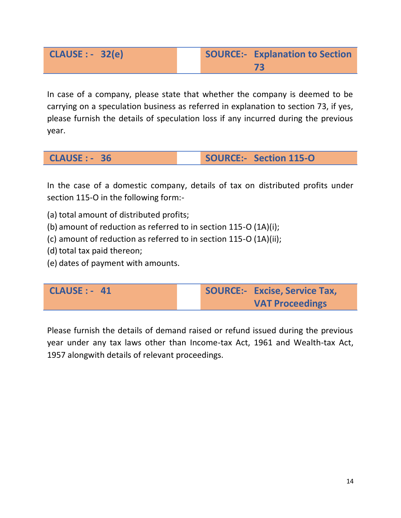In case of a company, please state that whether the company is deemed to be carrying on a speculation business as referred in explanation to section 73, if yes, please furnish the details of speculation loss if any incurred during the previous year.

**CLAUSE : - 36 SOURCE:- Section 115-O**

In the case of a domestic company, details of tax on distributed profits under section 115-O in the following form:-

- (a) total amount of distributed profits;
- (b) amount of reduction as referred to in section 115-O (1A)(i);
- (c) amount of reduction as referred to in section 115-O (1A)(ii);
- (d) total tax paid thereon;
- (e) dates of payment with amounts.

| $CLAUSE: -41$ | <b>SOURCE:- Excise, Service Tax,</b> |
|---------------|--------------------------------------|
|               | <b>VAT Proceedings</b>               |

Please furnish the details of demand raised or refund issued during the previous year under any tax laws other than Income-tax Act, 1961 and Wealth-tax Act, 1957 alongwith details of relevant proceedings.